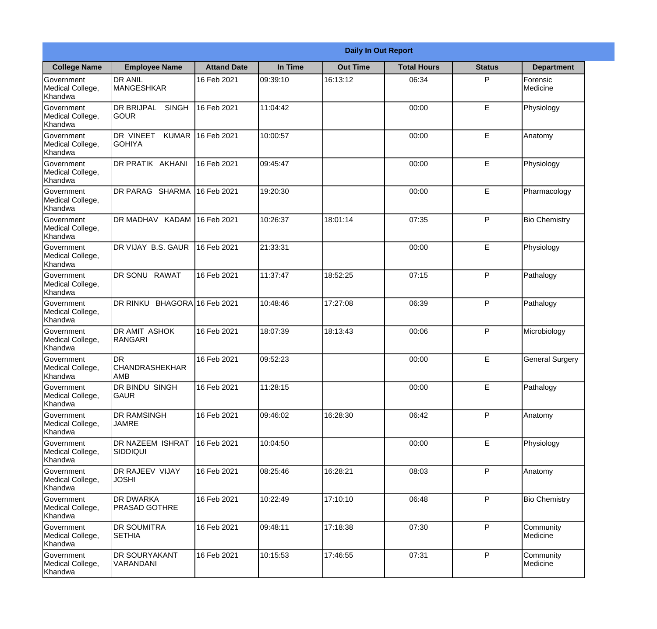|                                                  |                                                  |                     |          | <b>Daily In Out Report</b> |                    |               |                        |
|--------------------------------------------------|--------------------------------------------------|---------------------|----------|----------------------------|--------------------|---------------|------------------------|
| <b>College Name</b>                              | <b>Employee Name</b>                             | <b>Attand Date</b>  | In Time  | <b>Out Time</b>            | <b>Total Hours</b> | <b>Status</b> | <b>Department</b>      |
| Government<br>Medical College,<br>Khandwa        | <b>DR ANIL</b><br><b>MANGESHKAR</b>              | 16 Feb 2021         | 09:39:10 | 16:13:12                   | 06:34              | P             | Forensic<br>Medicine   |
| Government<br>Medical College,<br>Khandwa        | <b>DR BRIJPAL</b><br><b>SINGH</b><br><b>GOUR</b> | 16 Feb 2021         | 11:04:42 |                            | 00:00              | E             | Physiology             |
| Government<br>Medical College,<br>Khandwa        | DR VINEET<br><b>KUMAR</b><br><b>GOHIYA</b>       | 16 Feb 2021         | 10:00:57 |                            | 00:00              | E             | Anatomy                |
| Government<br>Medical College,<br>Khandwa        | DR PRATIK AKHANI                                 | 16 Feb 2021         | 09:45:47 |                            | 00:00              | E             | Physiology             |
| <b>Government</b><br>Medical College,<br>Khandwa | DR PARAG SHARMA                                  | 16 Feb 2021         | 19:20:30 |                            | 00:00              | E             | Pharmacology           |
| Government<br>Medical College,<br>Khandwa        | DR MADHAV KADAM                                  | 16 Feb 2021         | 10:26:37 | 18:01:14                   | 07:35              | P             | <b>Bio Chemistry</b>   |
| <b>Government</b><br>Medical College,<br>Khandwa | DR VIJAY B.S. GAUR                               | 16 Feb 2021         | 21:33:31 |                            | 00:00              | E             | Physiology             |
| Government<br>Medical College,<br>Khandwa        | DR SONU RAWAT                                    | 16 Feb 2021         | 11:37:47 | 18:52:25                   | 07:15              | P             | Pathalogy              |
| Government<br>Medical College,<br>Khandwa        | DR RINKU                                         | BHAGORA 16 Feb 2021 | 10:48:46 | 17:27:08                   | 06:39              | P             | Pathalogy              |
| Government<br>Medical College,<br>Khandwa        | DR AMIT ASHOK<br>RANGARI                         | 16 Feb 2021         | 18:07:39 | 18:13:43                   | 00:06              | P             | Microbiology           |
| Government<br>Medical College,<br>Khandwa        | DR<br><b>CHANDRASHEKHAR</b><br><b>JAMB</b>       | 16 Feb 2021         | 09:52:23 |                            | 00:00              | E             | <b>General Surgery</b> |
| Government<br>Medical College,<br>Khandwa        | DR BINDU SINGH<br><b>GAUR</b>                    | 16 Feb 2021         | 11:28:15 |                            | 00:00              | E             | Pathalogy              |
| Government<br>Medical College,<br>Khandwa        | <b>DR RAMSINGH</b><br><b>JAMRE</b>               | 16 Feb 2021         | 09:46:02 | 16:28:30                   | 06:42              | P             | Anatomy                |
| Government<br>Medical College,<br>Khandwa        | DR NAZEEM ISHRAT<br><b>SIDDIQUI</b>              | 16 Feb 2021         | 10:04:50 |                            | 00:00              | E             | Physiology             |
| Government<br>Medical College,<br>Khandwa        | DR RAJEEV VIJAY<br><b>JOSHI</b>                  | 16 Feb 2021         | 08:25:46 | 16:28:21                   | 08:03              | P             | Anatomy                |
| Government<br>Medical College,<br>Khandwa        | <b>DR DWARKA</b><br><b>PRASAD GOTHRE</b>         | 16 Feb 2021         | 10:22:49 | 17:10:10                   | 06:48              | P             | <b>Bio Chemistry</b>   |
| Government<br>Medical College,<br>Khandwa        | <b>DR SOUMITRA</b><br><b>SETHIA</b>              | 16 Feb 2021         | 09:48:11 | 17:18:38                   | 07:30              | P             | Community<br>Medicine  |
| Government<br>Medical College,<br>Khandwa        | DR SOURYAKANT<br>VARANDANI                       | 16 Feb 2021         | 10:15:53 | 17:46:55                   | 07:31              | P             | Community<br>Medicine  |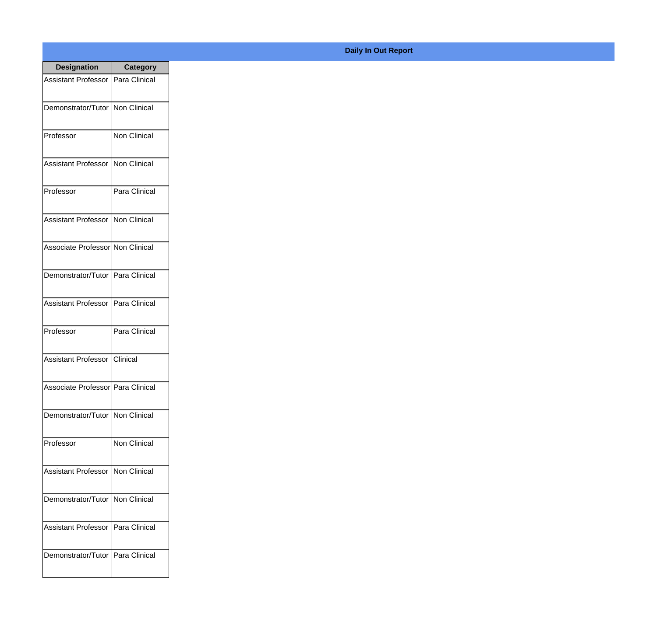| <b>Designation</b>                 | <b>Category</b>     |
|------------------------------------|---------------------|
| <b>Assistant Professor</b>         | Para Clinical       |
| Demonstrator/Tutor   Non Clinical  |                     |
| Professor                          | <b>Non Clinical</b> |
| <b>Assistant Professor</b>         | Non Clinical        |
| Professor                          | Para Clinical       |
| Assistant Professor   Non Clinical |                     |
| Associate Professor Non Clinical   |                     |
| Demonstrator/Tutor   Para Clinical |                     |
| <b>Assistant Professor</b>         | Para Clinical       |
| Professor                          | Para Clinical       |
| <b>Assistant Professor</b>         | Clinical            |
| Associate Professor Para Clinical  |                     |
| Demonstrator/Tutor   Non Clinical  |                     |
| Professor                          | <b>Non Clinical</b> |
| <b>Assistant Professor</b>         | Non Clinical        |
| Demonstrator/Tutor                 | Non Clinical        |
| <b>Assistant Professor</b>         | Para Clinical       |
| Demonstrator/Tutor   Para Clinical |                     |

## **Daily In Out Report**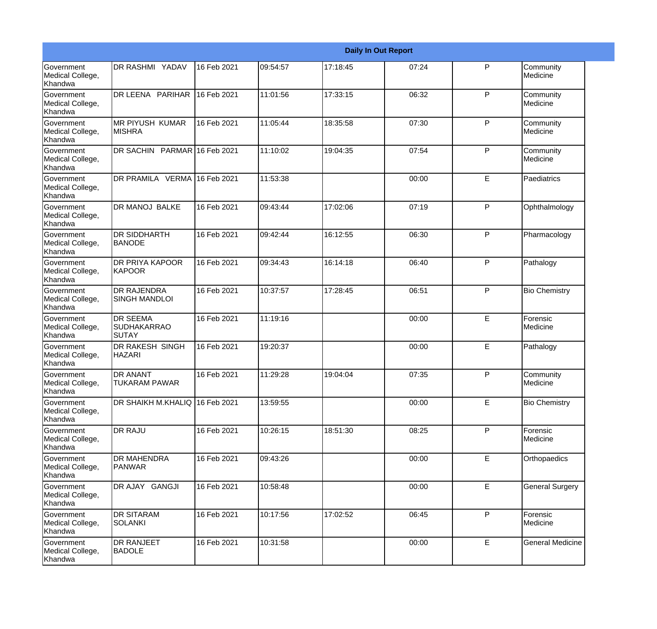|                                                         |                                            |             |          |          | <b>Daily In Out Report</b> |              |                         |
|---------------------------------------------------------|--------------------------------------------|-------------|----------|----------|----------------------------|--------------|-------------------------|
| Government<br>Medical College,<br>Khandwa               | <b>DR RASHMI YADAV</b>                     | 16 Feb 2021 | 09:54:57 | 17:18:45 | 07:24                      | P            | Community<br>Medicine   |
| Government<br>Medical College,<br>Khandwa               | DR LEENA PARIHAR                           | 16 Feb 2021 | 11:01:56 | 17:33:15 | 06:32                      | P            | Community<br>Medicine   |
| <b>Government</b><br>Medical College,<br>Khandwa        | <b>MR PIYUSH KUMAR</b><br><b>MISHRA</b>    | 16 Feb 2021 | 11:05:44 | 18:35:58 | 07:30                      | P            | Community<br>Medicine   |
| <b>Government</b><br>Medical College,<br>Khandwa        | DR SACHIN PARMAR 16 Feb 2021               |             | 11:10:02 | 19:04:35 | 07:54                      | P            | Community<br>Medicine   |
| Government<br>Medical College,<br>Khandwa               | DR PRAMILA VERMA 16 Feb 2021               |             | 11:53:38 |          | 00:00                      | E            | Paediatrics             |
| Government<br>Medical College,<br>Khandwa               | <b>DR MANOJ BALKE</b>                      | 16 Feb 2021 | 09:43:44 | 17:02:06 | 07:19                      | P            | Ophthalmology           |
| Government<br>Medical College,<br>Khandwa               | <b>DR SIDDHARTH</b><br><b>BANODE</b>       | 16 Feb 2021 | 09:42:44 | 16:12:55 | 06:30                      | P            | Pharmacology            |
| Government<br>Medical College,<br>Khandwa               | DR PRIYA KAPOOR<br>KAPOOR                  | 16 Feb 2021 | 09:34:43 | 16:14:18 | 06:40                      | $\mathsf{P}$ | Pathalogy               |
| Government<br>Medical College,<br>Khandwa               | <b>DR RAJENDRA</b><br><b>SINGH MANDLOI</b> | 16 Feb 2021 | 10:37:57 | 17:28:45 | 06:51                      | P            | <b>Bio Chemistry</b>    |
| <b>Government</b><br>Medical College,<br>Khandwa        | <b>DR SEEMA</b><br>SUDHAKARRAO<br>SUTAY    | 16 Feb 2021 | 11:19:16 |          | 00:00                      | E            | Forensic<br>Medicine    |
| <b>Government</b><br>Medical College,<br><b>Khandwa</b> | <b>DR RAKESH SINGH</b><br><b>HAZARI</b>    | 16 Feb 2021 | 19:20:37 |          | 00:00                      | E            | Pathalogy               |
| Government<br>Medical College,<br>Khandwa               | <b>DR ANANT</b><br><b>TUKARAM PAWAR</b>    | 16 Feb 2021 | 11:29:28 | 19:04:04 | 07:35                      | P            | Community<br>Medicine   |
| Government<br>Medical College,<br>Khandwa               | DR SHAIKH M.KHALIQ 16 Feb 2021             |             | 13:59:55 |          | 00:00                      | E            | <b>Bio Chemistry</b>    |
| <b>Government</b><br>Medical College,<br>Khandwa        | <b>DR RAJU</b>                             | 16 Feb 2021 | 10:26:15 | 18:51:30 | 08:25                      | $\mathsf{P}$ | Forensic<br>Medicine    |
| Government<br>Medical College,<br>Khandwa               | <b>DR MAHENDRA</b><br><b>PANWAR</b>        | 16 Feb 2021 | 09:43:26 |          | 00:00                      | E            | Orthopaedics            |
| Government<br>Medical College,<br>Khandwa               | DR AJAY GANGJI                             | 16 Feb 2021 | 10:58:48 |          | 00:00                      | E            | <b>General Surgery</b>  |
| Government<br>Medical College,<br>Khandwa               | <b>DR SITARAM</b><br><b>SOLANKI</b>        | 16 Feb 2021 | 10:17:56 | 17:02:52 | 06:45                      | $\mathsf{P}$ | Forensic<br>Medicine    |
| Government<br>Medical College,<br>Khandwa               | <b>DR RANJEET</b><br><b>BADOLE</b>         | 16 Feb 2021 | 10:31:58 |          | 00:00                      | E            | <b>General Medicine</b> |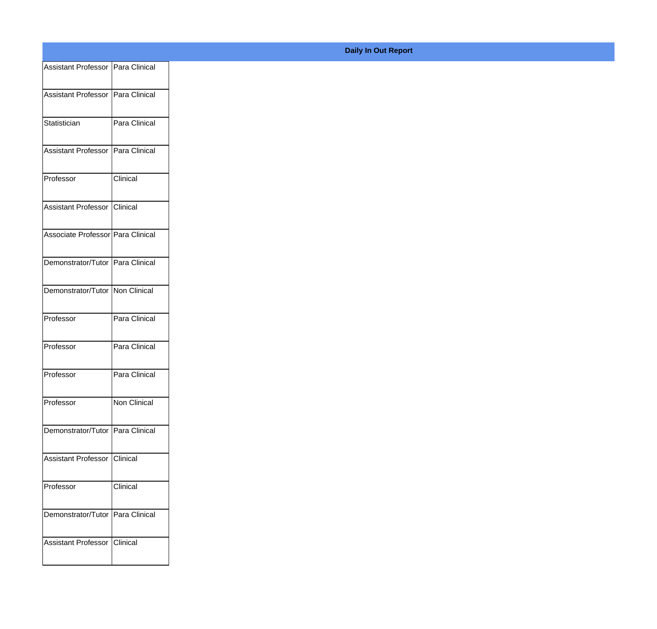| Assistant Professor Para Clinical   |               |
|-------------------------------------|---------------|
| Assistant Professor Para Clinical   |               |
|                                     |               |
| Statistician                        | Para Clinical |
| Assistant Professor   Para Clinical |               |
| Professor                           | Clinical      |
|                                     |               |
| Assistant Professor Clinical        |               |
| Associate Professor Para Clinical   |               |
| Demonstrator/Tutor Para Clinical    |               |
|                                     |               |
| Demonstrator/Tutor Non Clinical     |               |
| Professor                           | Para Clinical |
| Professor                           | Para Clinical |
|                                     |               |
| Professor                           | Para Clinical |
| Professor                           | Non Clinical  |
| Demonstrator/Tutor Para Clinical    |               |
|                                     |               |
| Assistant Professor Clinical        |               |
| Professor                           | Clinical      |
|                                     |               |
| Demonstrator/Tutor Para Clinical    |               |
| Assistant Professor Clinical        |               |
|                                     |               |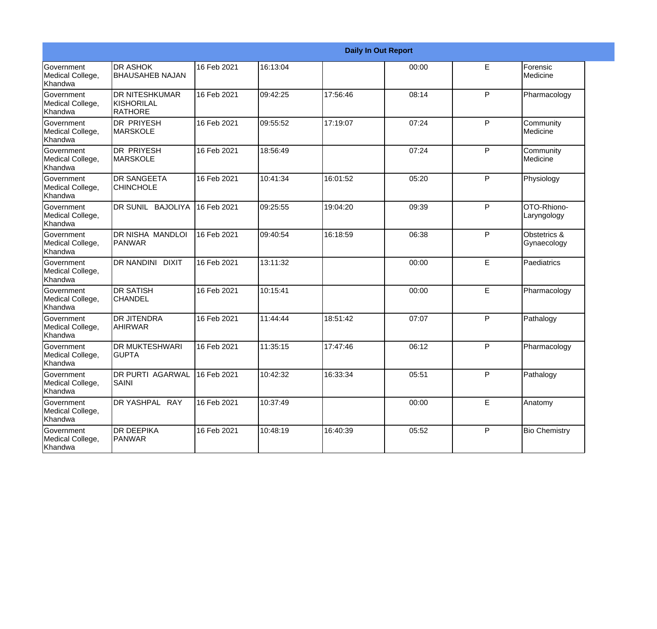|                                                         |                                                 |             |          |          | <b>Daily In Out Report</b> |             |                             |
|---------------------------------------------------------|-------------------------------------------------|-------------|----------|----------|----------------------------|-------------|-----------------------------|
| Government<br>Medical College,<br>Khandwa               | <b>DR ASHOK</b><br><b>BHAUSAHEB NAJAN</b>       | 16 Feb 2021 | 16:13:04 |          | 00:00                      | E           | Forensic<br>Medicine        |
| <b>Government</b><br>Medical College,<br>Khandwa        | <b>IDR NITESHKUMAR</b><br>KISHORILAL<br>RATHORE | 16 Feb 2021 | 09:42:25 | 17:56:46 | 08:14                      | P           | Pharmacology                |
| <b>Government</b><br>Medical College,<br>Khandwa        | <b>DR PRIYESH</b><br><b>MARSKOLE</b>            | 16 Feb 2021 | 09:55:52 | 17:19:07 | 07:24                      | P           | Community<br>Medicine       |
| Government<br>Medical College,<br>Khandwa               | <b>DR PRIYESH</b><br>MARSKOLE                   | 16 Feb 2021 | 18:56:49 |          | 07:24                      | P           | Community<br>Medicine       |
| Government<br>Medical College,<br>Khandwa               | <b>DR SANGEETA</b><br><b>CHINCHOLE</b>          | 16 Feb 2021 | 10:41:34 | 16:01:52 | 05:20                      | P           | Physiology                  |
| Government<br>Medical College,<br>Khandwa               | DR SUNIL BAJOLIYA                               | 16 Feb 2021 | 09:25:55 | 19:04:20 | 09:39                      | P           | OTO-Rhiono-<br>Laryngology  |
| <b>Government</b><br>Medical College,<br><b>Khandwa</b> | <b>IDR NISHA MANDLOI</b><br>PANWAR              | 16 Feb 2021 | 09:40:54 | 16:18:59 | 06:38                      | P           | Obstetrics &<br>Gynaecology |
| Government<br>Medical College,<br>Khandwa               | DR NANDINI DIXIT                                | 16 Feb 2021 | 13:11:32 |          | 00:00                      | E           | Paediatrics                 |
| Government<br>Medical College,<br>Khandwa               | <b>DR SATISH</b><br><b>CHANDEL</b>              | 16 Feb 2021 | 10:15:41 |          | 00:00                      | E           | Pharmacology                |
| <b>Government</b><br>Medical College,<br>Khandwa        | <b>DR JITENDRA</b><br>AHIRWAR                   | 16 Feb 2021 | 11:44:44 | 18:51:42 | 07:07                      | P           | Pathalogy                   |
| <b>Government</b><br>Medical College,<br>Khandwa        | <b>DR MUKTESHWARI</b><br><b>GUPTA</b>           | 16 Feb 2021 | 11:35:15 | 17:47:46 | 06:12                      | P           | Pharmacology                |
| Government<br>Medical College,<br>Khandwa               | <b>DR PURTI AGARWAL</b><br>SAINI                | 16 Feb 2021 | 10:42:32 | 16:33:34 | 05:51                      | P           | Pathalogy                   |
| Government<br>Medical College,<br>Khandwa               | DR YASHPAL RAY                                  | 16 Feb 2021 | 10:37:49 |          | 00:00                      | $\mathsf E$ | Anatomy                     |
| Government<br>Medical College,<br>Khandwa               | <b>DR DEEPIKA</b><br>PANWAR                     | 16 Feb 2021 | 10:48:19 | 16:40:39 | 05:52                      | P           | <b>Bio Chemistry</b>        |